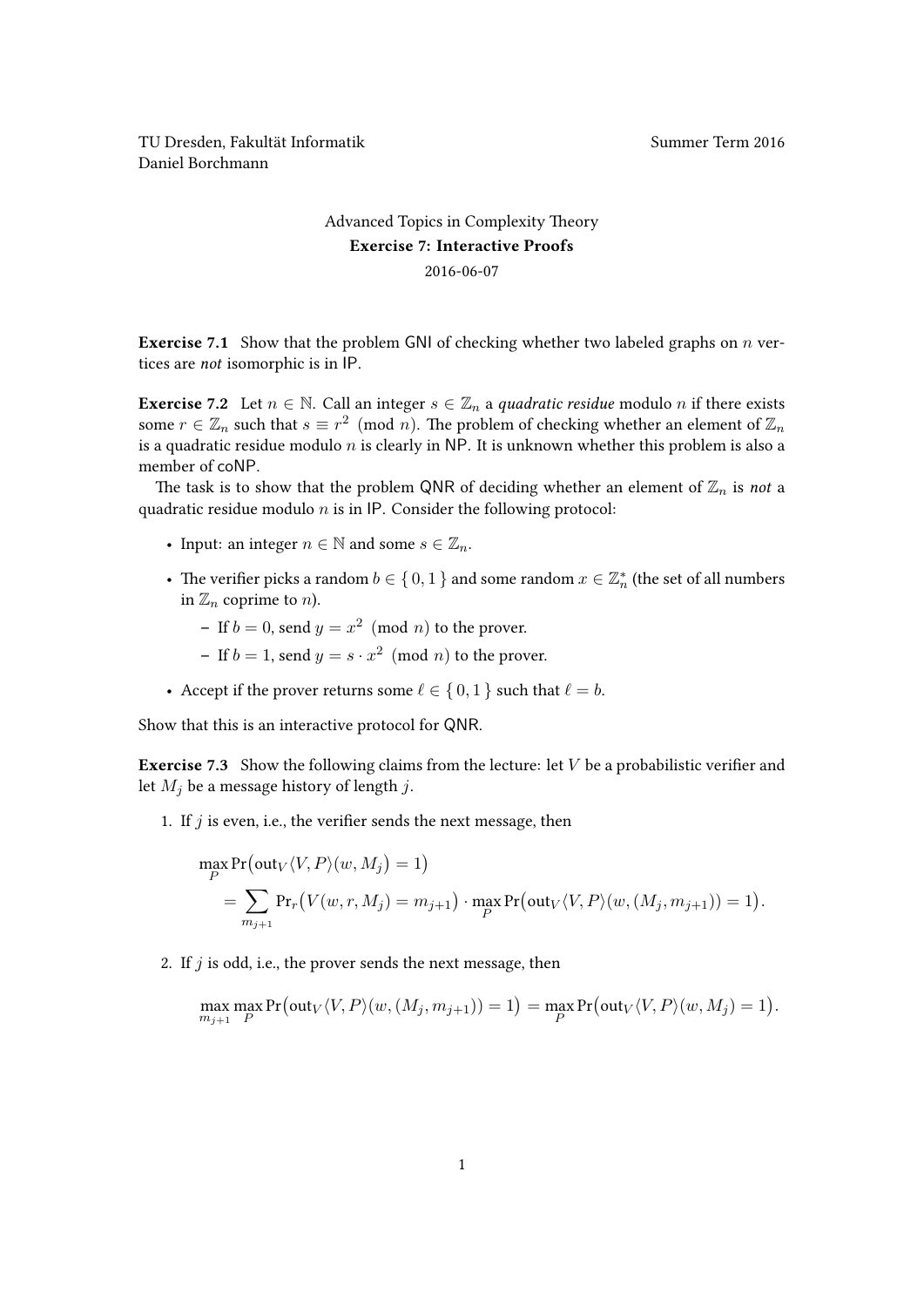TU Dresden, Fakultät Informatik Nummer Term 2016 Daniel Borchmann

## [Advanced Topics in Complexity Theory](https://ddll.inf.tu-dresden.de/web/Advanced_Topics_in_Complexity_Theory_(SS2016)) Exercise 7: Interactive Proofs 2016-06-07

**Exercise 7.1** Show that the problem GNI of checking whether two labeled graphs on  $n$  vertices are not isomorphic is in IP.

**Exercise** 7.2 Let  $n \in \mathbb{N}$ . Call an integer  $s \in \mathbb{Z}_n$  a quadratic residue modulo n if there exists some  $r \in \mathbb{Z}_n$  such that  $s \equiv r^2 \pmod{n}$ . The problem of checking whether an element of  $\mathbb{Z}_n$ is a quadratic residue modulo  $n$  is clearly in NP. It is unknown whether this problem is also a member of coNP.

The task is to show that the problem QNR of deciding whether an element of  $\mathbb{Z}_n$  is not a quadratic residue modulo  $n$  is in IP. Consider the following protocol:

- Input: an integer  $n \in \mathbb{N}$  and some  $s \in \mathbb{Z}_n$ .
- The verifier picks a random  $b\in\{\,0,1\,\}$  and some random  $x\in\mathbb{Z}_n^*$  (the set of all numbers in  $\mathbb{Z}_n$  coprime to *n*).
	- If  $b = 0$ , send  $y = x^2 \pmod{n}$  to the prover.
	- If  $b = 1$ , send  $y = s \cdot x^2 \pmod{n}$  to the prover.
- Accept if the prover returns some  $\ell \in \{0, 1\}$  such that  $\ell = b$ .

Show that this is an interactive protocol for QNR.

**Exercise 7.3** Show the following claims from the lecture: let  $V$  be a probabilistic verifier and let  $M_i$  be a message history of length j.

1. If  $j$  is even, i.e., the verifier sends the next message, then

$$
\max_{P} \Pr(\text{out}_V \langle V, P \rangle (w, M_j) = 1)
$$
  
= 
$$
\sum_{m_{j+1}} \Pr_r(V(w, r, M_j) = m_{j+1}) \cdot \max_{P} \Pr(\text{out}_V \langle V, P \rangle (w, (M_j, m_{j+1})) = 1).
$$

2. If  $j$  is odd, i.e., the prover sends the next message, then

$$
\max_{m_{j+1}} \max_{P} \Pr(\text{out}_V \langle V, P \rangle(w, (M_j, m_{j+1})) = 1) = \max_{P} \Pr(\text{out}_V \langle V, P \rangle(w, M_j) = 1).
$$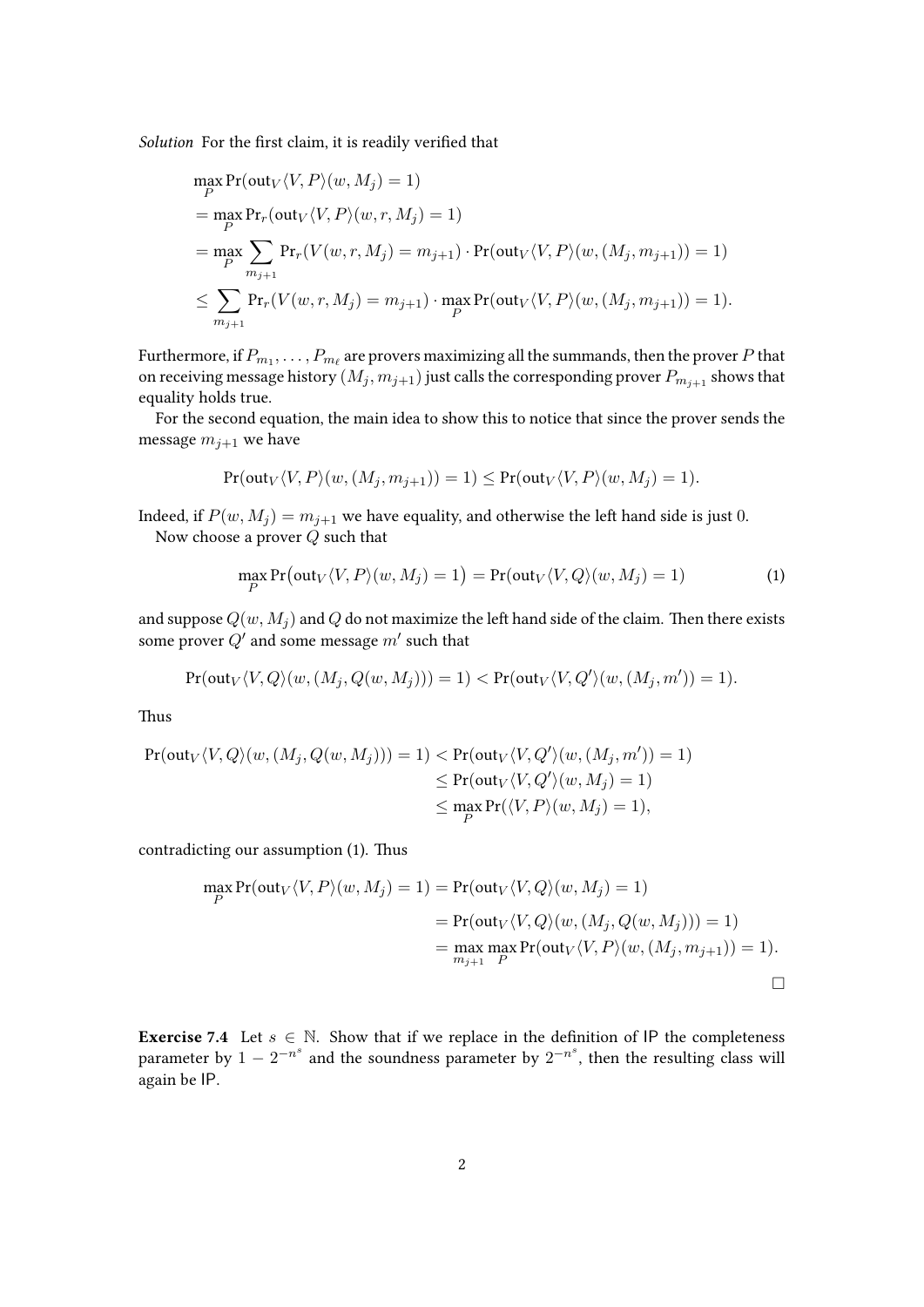Solution For the first claim, it is readily verified that

$$
\max_{P} \Pr(\text{out}_{V} \langle V, P \rangle (w, M_j) = 1)
$$
\n
$$
= \max_{P} \Pr_{r}(\text{out}_{V} \langle V, P \rangle (w, r, M_j) = 1)
$$
\n
$$
= \max_{P} \sum_{m_{j+1}} \Pr_{r} (V(w, r, M_j) = m_{j+1}) \cdot \Pr(\text{out}_{V} \langle V, P \rangle (w, (M_j, m_{j+1})) = 1)
$$
\n
$$
\leq \sum_{m_{j+1}} \Pr_{r} (V(w, r, M_j) = m_{j+1}) \cdot \max_{P} \Pr(\text{out}_{V} \langle V, P \rangle (w, (M_j, m_{j+1})) = 1).
$$

Furthermore, if  $P_{m_1},\ldots,P_{m_\ell}$  are provers maximizing all the summands, then the prover  $P$  that on receiving message history  $\left(M_j, m_{j+1}\right)$  just calls the corresponding prover  $P_{m_{j+1}}$  shows that equality holds true.

For the second equation, the main idea to show this to notice that since the prover sends the message  $m_{i+1}$  we have

$$
Pr(\text{out}_V \langle V, P \rangle (w, (M_j, m_{j+1})) = 1) \le Pr(\text{out}_V \langle V, P \rangle (w, M_j) = 1).
$$

Indeed, if  $P(w, M_j) = m_{j+1}$  we have equality, and otherwise the left hand side is just 0. Now choose a prover Q such that

<span id="page-1-0"></span>
$$
\max_{P} \Pr\left(\text{out}_V\langle V, P\rangle(w, M_j) = 1\right) = \Pr(\text{out}_V\langle V, Q\rangle(w, M_j) = 1) \tag{1}
$$

and suppose  $Q(w, M_i)$  and Q do not maximize the left hand side of the claim. Then there exists some prover  $Q'$  and some message  $m'$  such that

$$
Pr(\text{out}_V \langle V, Q \rangle (w, (M_j, Q(w, M_j))) = 1) < Pr(\text{out}_V \langle V, Q' \rangle (w, (M_j, m')) = 1).
$$

Thus

$$
Pr(\text{out}_V \langle V, Q \rangle (w, (M_j, Q(w, M_j))) = 1) < Pr(\text{out}_V \langle V, Q' \rangle (w, (M_j, m')) = 1)
$$
  
\n
$$
\le Pr(\text{out}_V \langle V, Q' \rangle (w, M_j) = 1)
$$
  
\n
$$
\le \max_{P} Pr(\langle V, P \rangle (w, M_j) = 1),
$$

contradicting our assumption [\(1\)](#page-1-0). Thus

$$
\max_{P} \Pr(\text{out}_{V} \langle V, P \rangle (w, M_j) = 1) = \Pr(\text{out}_{V} \langle V, Q \rangle (w, M_j) = 1)
$$
  
= 
$$
\Pr(\text{out}_{V} \langle V, Q \rangle (w, (M_j, Q(w, M_j))) = 1)
$$
  
= 
$$
\max_{m_{j+1}} \max_{P} \Pr(\text{out}_{V} \langle V, P \rangle (w, (M_j, m_{j+1})) = 1).
$$

**Exercise 7.4** Let  $s \in \mathbb{N}$ . Show that if we replace in the definition of IP the completeness parameter by  $1 - 2^{-n^s}$  and the soundness parameter by  $2^{-n^s}$ , then the resulting class will again be IP.